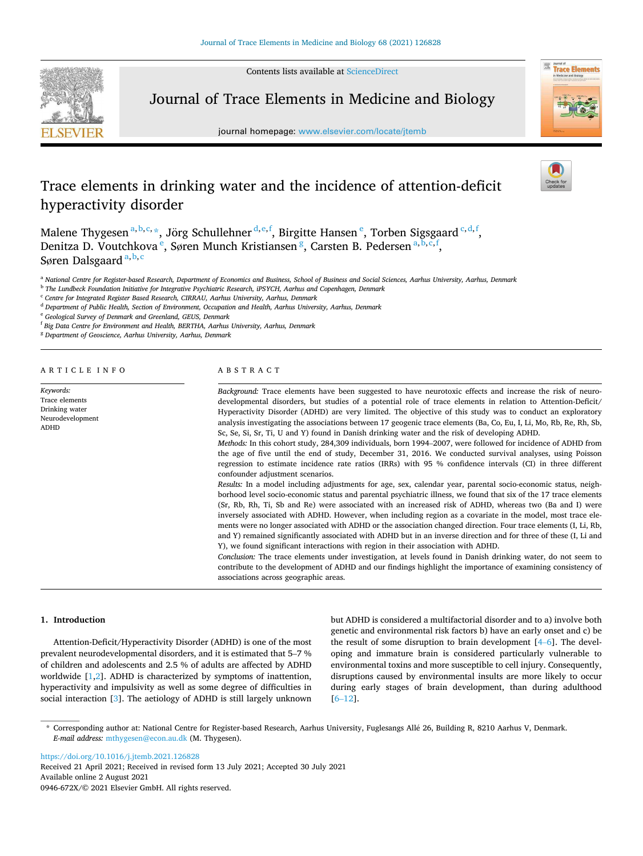Contents lists available at [ScienceDirect](www.sciencedirect.com/science/journal/0946672X)



Journal of Trace Elements in Medicine and Biology

journal homepage: [www.elsevier.com/locate/jtemb](https://www.elsevier.com/locate/jtemb)



# Trace elements in drinking water and the incidence of attention-deficit hyperactivity disorder

Malene Thygesen  $a,b,c,*$ , Jörg Schullehner  $^{d,e,f}$ , Birgitte Hansen  $e$ , Torben Sigsgaard  $^{c,d,f}$ , Denitza D. Voutchkova<sup>e</sup>, Søren Munch Kristiansen<sup>g</sup>, Carsten B. Pedersen<sup>a, b, c, f</sup>, Søren Dalsgaard<sup>a, b, c</sup>

<sup>a</sup> *National Centre for Register-based Research, Department of Economics and Business, School of Business and Social Sciences, Aarhus University, Aarhus, Denmark* 

b *The Lundbeck Foundation Initiative for Integrative Psychiatric Research, iPSYCH, Aarhus and Copenhagen, Denmark* 

<sup>c</sup> *Centre for Integrated Register Based Research, CIRRAU, Aarhus University, Aarhus, Denmark* 

<sup>d</sup> *Department of Public Health, Section of Environment, Occupation and Health, Aarhus University, Aarhus, Denmark* 

<sup>e</sup> *Geological Survey of Denmark and Greenland, GEUS, Denmark* 

f *Big Data Centre for Environment and Health, BERTHA, Aarhus University, Aarhus, Denmark* 

<sup>g</sup> *Department of Geoscience, Aarhus University, Aarhus, Denmark* 

A R T I C L E I N F O

*Keywords:*  Trace elements Drinking water Neurodevelopment ADHD

# ABSTRACT

*Background:* Trace elements have been suggested to have neurotoxic effects and increase the risk of neurodevelopmental disorders, but studies of a potential role of trace elements in relation to Attention-Deficit/ Hyperactivity Disorder (ADHD) are very limited. The objective of this study was to conduct an exploratory analysis investigating the associations between 17 geogenic trace elements (Ba, Co, Eu, I, Li, Mo, Rb, Re, Rh, Sb, Sc, Se, Si, Sr, Ti, U and Y) found in Danish drinking water and the risk of developing ADHD. *Methods:* In this cohort study, 284,309 individuals, born 1994–2007, were followed for incidence of ADHD from

the age of five until the end of study, December 31, 2016. We conducted survival analyses, using Poisson regression to estimate incidence rate ratios (IRRs) with 95 % confidence intervals (CI) in three different confounder adjustment scenarios.

*Results:* In a model including adjustments for age, sex, calendar year, parental socio-economic status, neighborhood level socio-economic status and parental psychiatric illness, we found that six of the 17 trace elements (Sr, Rb, Rh, Ti, Sb and Re) were associated with an increased risk of ADHD, whereas two (Ba and I) were inversely associated with ADHD. However, when including region as a covariate in the model, most trace elements were no longer associated with ADHD or the association changed direction. Four trace elements (I, Li, Rb, and Y) remained significantly associated with ADHD but in an inverse direction and for three of these (I, Li and Y), we found significant interactions with region in their association with ADHD.

*Conclusion:* The trace elements under investigation, at levels found in Danish drinking water, do not seem to contribute to the development of ADHD and our findings highlight the importance of examining consistency of associations across geographic areas.

# **1. Introduction**

Attention-Deficit/Hyperactivity Disorder (ADHD) is one of the most prevalent neurodevelopmental disorders, and it is estimated that 5–7 % of children and adolescents and 2.5 % of adults are affected by ADHD worldwide [[1,2\]](#page-7-0). ADHD is characterized by symptoms of inattention, hyperactivity and impulsivity as well as some degree of difficulties in social interaction [\[3\]](#page-7-0). The aetiology of ADHD is still largely unknown but ADHD is considered a multifactorial disorder and to a) involve both genetic and environmental risk factors b) have an early onset and c) be the result of some disruption to brain development [\[4](#page-7-0)–6]. The developing and immature brain is considered particularly vulnerable to environmental toxins and more susceptible to cell injury. Consequently, disruptions caused by environmental insults are more likely to occur during early stages of brain development, than during adulthood [6–[12](#page-7-0)].

\* Corresponding author at: National Centre for Register-based Research, Aarhus University, Fuglesangs All´e 26, Building R, 8210 Aarhus V, Denmark. *E-mail address:* [mthygesen@econ.au.dk](mailto:mthygesen@econ.au.dk) (M. Thygesen).

<https://doi.org/10.1016/j.jtemb.2021.126828>

Available online 2 August 2021 0946-672X/© 2021 Elsevier GmbH. All rights reserved. Received 21 April 2021; Received in revised form 13 July 2021; Accepted 30 July 2021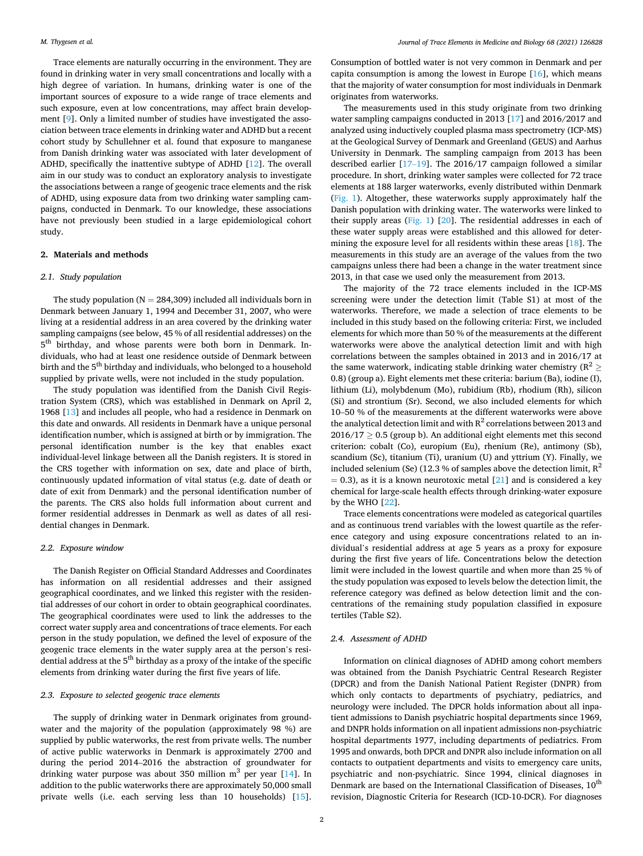Trace elements are naturally occurring in the environment. They are found in drinking water in very small concentrations and locally with a high degree of variation. In humans, drinking water is one of the important sources of exposure to a wide range of trace elements and such exposure, even at low concentrations, may affect brain development [\[9\]](#page-7-0). Only a limited number of studies have investigated the association between trace elements in drinking water and ADHD but a recent cohort study by Schullehner et al. found that exposure to manganese from Danish drinking water was associated with later development of ADHD, specifically the inattentive subtype of ADHD [[12\]](#page-7-0). The overall aim in our study was to conduct an exploratory analysis to investigate the associations between a range of geogenic trace elements and the risk of ADHD, using exposure data from two drinking water sampling campaigns, conducted in Denmark. To our knowledge, these associations have not previously been studied in a large epidemiological cohort study.

## **2. Materials and methods**

### *2.1. Study population*

The study population ( $N = 284,309$ ) included all individuals born in Denmark between January 1, 1994 and December 31, 2007, who were living at a residential address in an area covered by the drinking water sampling campaigns (see below, 45 % of all residential addresses) on the 5<sup>th</sup> birthday, and whose parents were both born in Denmark. Individuals, who had at least one residence outside of Denmark between birth and the  $5^{\text{th}}$  birthday and individuals, who belonged to a household supplied by private wells, were not included in the study population.

The study population was identified from the Danish Civil Registration System (CRS), which was established in Denmark on April 2, 1968 [\[13](#page-7-0)] and includes all people, who had a residence in Denmark on this date and onwards. All residents in Denmark have a unique personal identification number, which is assigned at birth or by immigration. The personal identification number is the key that enables exact individual-level linkage between all the Danish registers. It is stored in the CRS together with information on sex, date and place of birth, continuously updated information of vital status (e.g. date of death or date of exit from Denmark) and the personal identification number of the parents. The CRS also holds full information about current and former residential addresses in Denmark as well as dates of all residential changes in Denmark.

### *2.2. Exposure window*

The Danish Register on Official Standard Addresses and Coordinates has information on all residential addresses and their assigned geographical coordinates, and we linked this register with the residential addresses of our cohort in order to obtain geographical coordinates. The geographical coordinates were used to link the addresses to the correct water supply area and concentrations of trace elements. For each person in the study population, we defined the level of exposure of the geogenic trace elements in the water supply area at the person's residential address at the 5<sup>th</sup> birthday as a proxy of the intake of the specific elements from drinking water during the first five years of life.

### *2.3. Exposure to selected geogenic trace elements*

The supply of drinking water in Denmark originates from groundwater and the majority of the population (approximately 98 %) are supplied by public waterworks, the rest from private wells. The number of active public waterworks in Denmark is approximately 2700 and during the period 2014–2016 the abstraction of groundwater for drinking water purpose was about 350 million  $m^3$  per year [\[14](#page-7-0)]. In addition to the public waterworks there are approximately 50,000 small private wells (i.e. each serving less than 10 households) [\[15](#page-7-0)].

Consumption of bottled water is not very common in Denmark and per capita consumption is among the lowest in Europe  $[16]$  $[16]$ , which means that the majority of water consumption for most individuals in Denmark originates from waterworks.

The measurements used in this study originate from two drinking water sampling campaigns conducted in 2013 [\[17](#page-7-0)] and 2016/2017 and analyzed using inductively coupled plasma mass spectrometry (ICP-MS) at the Geological Survey of Denmark and Greenland (GEUS) and Aarhus University in Denmark. The sampling campaign from 2013 has been described earlier [\[17](#page-7-0)–19]. The 2016/17 campaign followed a similar procedure. In short, drinking water samples were collected for 72 trace elements at 188 larger waterworks, evenly distributed within Denmark ([Fig. 1\)](#page-2-0). Altogether, these waterworks supply approximately half the Danish population with drinking water. The waterworks were linked to their supply areas [\(Fig. 1](#page-2-0)) [[20\]](#page-7-0). The residential addresses in each of these water supply areas were established and this allowed for determining the exposure level for all residents within these areas [\[18](#page-7-0)]. The measurements in this study are an average of the values from the two campaigns unless there had been a change in the water treatment since 2013, in that case we used only the measurement from 2013.

The majority of the 72 trace elements included in the ICP-MS screening were under the detection limit (Table S1) at most of the waterworks. Therefore, we made a selection of trace elements to be included in this study based on the following criteria: First, we included elements for which more than 50 % of the measurements at the different waterworks were above the analytical detection limit and with high correlations between the samples obtained in 2013 and in 2016/17 at the same waterwork, indicating stable drinking water chemistry ( $R^2 \geq$ 0.8) (group a). Eight elements met these criteria: barium (Ba), iodine (I), lithium (Li), molybdenum (Mo), rubidium (Rb), rhodium (Rh), silicon (Si) and strontium (Sr). Second, we also included elements for which 10–50 % of the measurements at the different waterworks were above the analytical detection limit and with  $R^2$  correlations between 2013 and  $2016/17 \geq 0.5$  (group b). An additional eight elements met this second criterion: cobalt (Co), europium (Eu), rhenium (Re), antimony (Sb), scandium (Sc), titanium (Ti), uranium (U) and yttrium (Y). Finally, we included selenium (Se) (12.3 % of samples above the detection limit,  $R^2$  $= 0.3$ ), as it is a known neurotoxic metal [\[21](#page-7-0)] and is considered a key chemical for large-scale health effects through drinking-water exposure by the WHO [\[22](#page-7-0)].

Trace elements concentrations were modeled as categorical quartiles and as continuous trend variables with the lowest quartile as the reference category and using exposure concentrations related to an individual's residential address at age 5 years as a proxy for exposure during the first five years of life. Concentrations below the detection limit were included in the lowest quartile and when more than 25 % of the study population was exposed to levels below the detection limit, the reference category was defined as below detection limit and the concentrations of the remaining study population classified in exposure tertiles (Table S2).

## *2.4. Assessment of ADHD*

Information on clinical diagnoses of ADHD among cohort members was obtained from the Danish Psychiatric Central Research Register (DPCR) and from the Danish National Patient Register (DNPR) from which only contacts to departments of psychiatry, pediatrics, and neurology were included. The DPCR holds information about all inpatient admissions to Danish psychiatric hospital departments since 1969, and DNPR holds information on all inpatient admissions non-psychiatric hospital departments 1977, including departments of pediatrics. From 1995 and onwards, both DPCR and DNPR also include information on all contacts to outpatient departments and visits to emergency care units, psychiatric and non-psychiatric. Since 1994, clinical diagnoses in Denmark are based on the International Classification of Diseases,  $10<sup>th</sup>$ revision, Diagnostic Criteria for Research (ICD-10-DCR). For diagnoses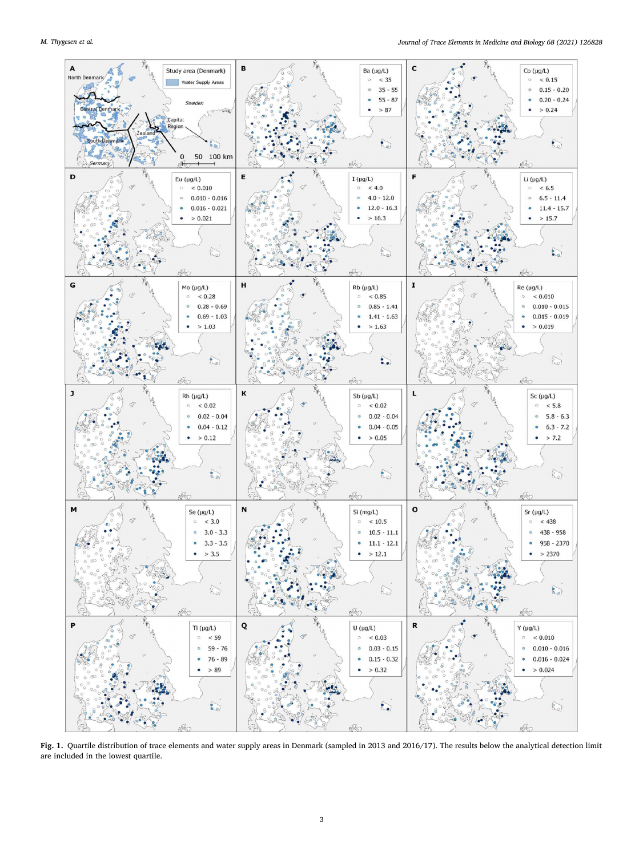<span id="page-2-0"></span>

**Fig. 1.** Quartile distribution of trace elements and water supply areas in Denmark (sampled in 2013 and 2016/17). The results below the analytical detection limit are included in the lowest quartile.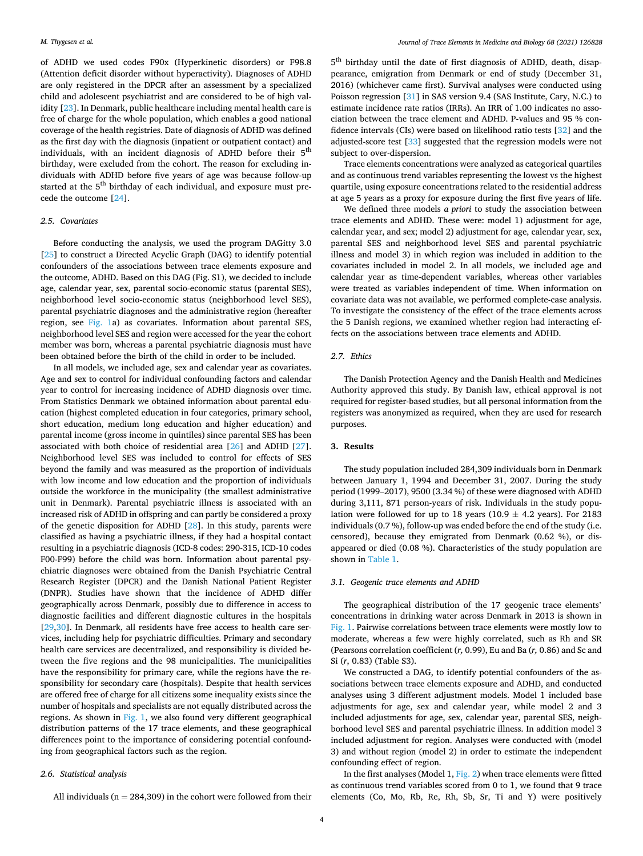of ADHD we used codes F90x (Hyperkinetic disorders) or F98.8 (Attention deficit disorder without hyperactivity). Diagnoses of ADHD are only registered in the DPCR after an assessment by a specialized child and adolescent psychiatrist and are considered to be of high validity [[23\]](#page-7-0). In Denmark, public healthcare including mental health care is free of charge for the whole population, which enables a good national coverage of the health registries. Date of diagnosis of ADHD was defined as the first day with the diagnosis (inpatient or outpatient contact) and individuals, with an incident diagnosis of ADHD before their 5<sup>th</sup> birthday, were excluded from the cohort. The reason for excluding individuals with ADHD before five years of age was because follow-up started at the 5<sup>th</sup> birthday of each individual, and exposure must precede the outcome [[24\]](#page-7-0).

# *2.5. Covariates*

Before conducting the analysis, we used the program DAGitty 3.0 [[25\]](#page-7-0) to construct a Directed Acyclic Graph (DAG) to identify potential confounders of the associations between trace elements exposure and the outcome, ADHD. Based on this DAG (Fig. S1), we decided to include age, calendar year, sex, parental socio-economic status (parental SES), neighborhood level socio-economic status (neighborhood level SES), parental psychiatric diagnoses and the administrative region (hereafter region, see [Fig. 1a](#page-2-0)) as covariates. Information about parental SES, neighborhood level SES and region were accessed for the year the cohort member was born, whereas a parental psychiatric diagnosis must have been obtained before the birth of the child in order to be included.

In all models, we included age, sex and calendar year as covariates. Age and sex to control for individual confounding factors and calendar year to control for increasing incidence of ADHD diagnosis over time. From Statistics Denmark we obtained information about parental education (highest completed education in four categories, primary school, short education, medium long education and higher education) and parental income (gross income in quintiles) since parental SES has been associated with both choice of residential area [\[26](#page-7-0)] and ADHD [\[27](#page-7-0)]. Neighborhood level SES was included to control for effects of SES beyond the family and was measured as the proportion of individuals with low income and low education and the proportion of individuals outside the workforce in the municipality (the smallest administrative unit in Denmark). Parental psychiatric illness is associated with an increased risk of ADHD in offspring and can partly be considered a proxy of the genetic disposition for ADHD [\[28\]](#page-7-0). In this study, parents were classified as having a psychiatric illness, if they had a hospital contact resulting in a psychiatric diagnosis (ICD-8 codes: 290-315, ICD-10 codes F00-F99) before the child was born. Information about parental psychiatric diagnoses were obtained from the Danish Psychiatric Central Research Register (DPCR) and the Danish National Patient Register (DNPR). Studies have shown that the incidence of ADHD differ geographically across Denmark, possibly due to difference in access to diagnostic facilities and different diagnostic cultures in the hospitals [[29,30](#page-7-0)]. In Denmark, all residents have free access to health care services, including help for psychiatric difficulties. Primary and secondary health care services are decentralized, and responsibility is divided between the five regions and the 98 municipalities. The municipalities have the responsibility for primary care, while the regions have the responsibility for secondary care (hospitals). Despite that health services are offered free of charge for all citizens some inequality exists since the number of hospitals and specialists are not equally distributed across the regions. As shown in [Fig. 1,](#page-2-0) we also found very different geographical distribution patterns of the 17 trace elements, and these geographical differences point to the importance of considering potential confounding from geographical factors such as the region.

## *2.6. Statistical analysis*

All individuals ( $n = 284,309$ ) in the cohort were followed from their

5 th birthday until the date of first diagnosis of ADHD, death, disappearance, emigration from Denmark or end of study (December 31, 2016) (whichever came first). Survival analyses were conducted using Poisson regression [[31\]](#page-7-0) in SAS version 9.4 (SAS Institute, Cary, N.C.) to estimate incidence rate ratios (IRRs). An IRR of 1.00 indicates no association between the trace element and ADHD. P-values and 95 % confidence intervals (CIs) were based on likelihood ratio tests [[32\]](#page-7-0) and the adjusted-score test [\[33](#page-7-0)] suggested that the regression models were not subject to over-dispersion.

Trace elements concentrations were analyzed as categorical quartiles and as continuous trend variables representing the lowest vs the highest quartile, using exposure concentrations related to the residential address at age 5 years as a proxy for exposure during the first five years of life.

We defined three models *a priori* to study the association between trace elements and ADHD. These were: model 1) adjustment for age, calendar year, and sex; model 2) adjustment for age, calendar year, sex, parental SES and neighborhood level SES and parental psychiatric illness and model 3) in which region was included in addition to the covariates included in model 2. In all models, we included age and calendar year as time-dependent variables, whereas other variables were treated as variables independent of time. When information on covariate data was not available, we performed complete-case analysis. To investigate the consistency of the effect of the trace elements across the 5 Danish regions, we examined whether region had interacting effects on the associations between trace elements and ADHD.

# *2.7. Ethics*

The Danish Protection Agency and the Danish Health and Medicines Authority approved this study. By Danish law, ethical approval is not required for register-based studies, but all personal information from the registers was anonymized as required, when they are used for research purposes.

### **3. Results**

The study population included 284,309 individuals born in Denmark between January 1, 1994 and December 31, 2007. During the study period (1999–2017), 9500 (3.34 %) of these were diagnosed with ADHD during 3,111, 871 person-years of risk. Individuals in the study population were followed for up to 18 years (10.9  $\pm$  4.2 years). For 2183 individuals (0.7 %), follow-up was ended before the end of the study (i.e. censored), because they emigrated from Denmark (0.62 %), or disappeared or died (0.08 %). Characteristics of the study population are shown in [Table 1.](#page-4-0)

### *3.1. Geogenic trace elements and ADHD*

The geographical distribution of the 17 geogenic trace elements' concentrations in drinking water across Denmark in 2013 is shown in [Fig. 1](#page-2-0). Pairwise correlations between trace elements were mostly low to moderate, whereas a few were highly correlated, such as Rh and SR (Pearsons correlation coefficient (*r,* 0.99), Eu and Ba (*r,* 0.86) and Sc and Si (*r*, 0.83) (Table S3).

We constructed a DAG, to identify potential confounders of the associations between trace elements exposure and ADHD, and conducted analyses using 3 different adjustment models. Model 1 included base adjustments for age, sex and calendar year, while model 2 and 3 included adjustments for age, sex, calendar year, parental SES, neighborhood level SES and parental psychiatric illness. In addition model 3 included adjustment for region. Analyses were conducted with (model 3) and without region (model 2) in order to estimate the independent confounding effect of region.

In the first analyses (Model 1, [Fig. 2\)](#page-5-0) when trace elements were fitted as continuous trend variables scored from 0 to 1, we found that 9 trace elements (Co, Mo, Rb, Re, Rh, Sb, Sr, Ti and Y) were positively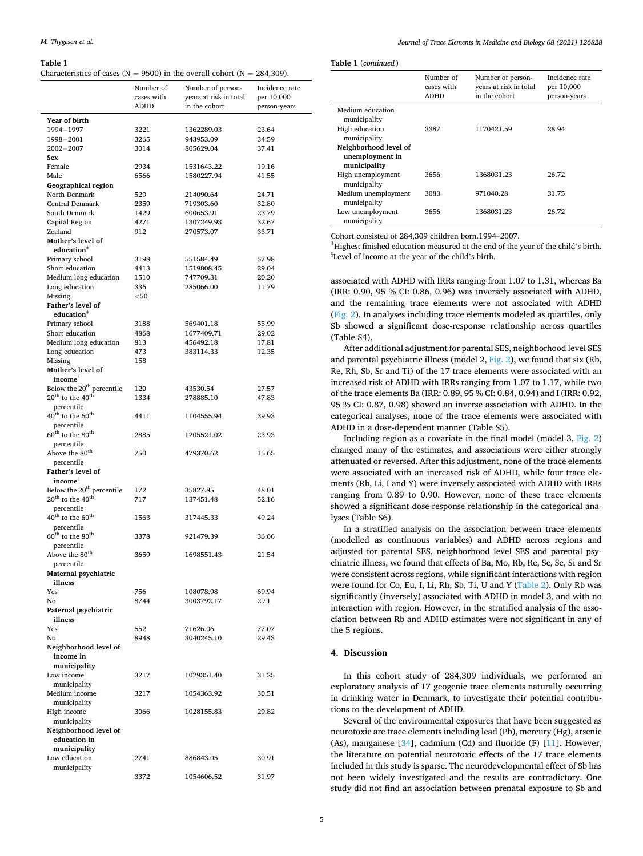#### <span id="page-4-0"></span>**Table 1**

Characteristics of cases ( $N = 9500$ ) in the overall cohort ( $N = 284,309$ ).

|                                                              | Number of   | Number of person-      | Incidence rate |
|--------------------------------------------------------------|-------------|------------------------|----------------|
|                                                              | cases with  | years at risk in total | per 10,000     |
|                                                              | <b>ADHD</b> | in the cohort          | person-years   |
| Year of birth                                                |             |                        |                |
| 1994-1997                                                    | 3221        | 1362289.03             | 23.64          |
| 1998-2001                                                    | 3265        | 943953.09              | 34.59          |
| $2002 - 2007$                                                | 3014        | 805629.04              | 37.41          |
| Sex                                                          |             |                        |                |
| Female                                                       | 2934        | 1531643.22             | 19.16          |
| Male                                                         | 6566        | 1580227.94             | 41.55          |
| Geographical region                                          |             |                        |                |
| North Denmark                                                | 529         | 214090.64              | 24.71          |
| <b>Central Denmark</b>                                       | 2359        | 719303.60              | 32.80          |
| South Denmark                                                | 1429        | 600653.91              | 23.79          |
| Capital Region                                               | 4271        | 1307249.93             | 32.67          |
| Zealand                                                      | 912         | 270573.07              | 33.71          |
| Mother's level of                                            |             |                        |                |
| education <sup>+</sup>                                       |             |                        |                |
| Primary school                                               | 3198        | 551584.49              | 57.98          |
| Short education                                              | 4413        | 1519808.45             | 29.04          |
| Medium long education                                        | 1510        | 747709.31              | 20.20          |
| Long education                                               | 336         | 285066.00              | 11.79          |
| Missing                                                      | $<$ 50      |                        |                |
| Father's level of                                            |             |                        |                |
| education <sup>+</sup>                                       |             |                        |                |
| Primary school                                               | 3188        | 569401.18              | 55.99          |
| Short education                                              | 4868        | 1677409.71             | 29.02          |
| Medium long education                                        | 813         | 456492.18              | 17.81          |
| Long education                                               | 473         | 383114.33              | 12.35          |
| Missing                                                      | 158         |                        |                |
| Mother's level of                                            |             |                        |                |
| income <sup>§</sup>                                          |             |                        |                |
| Below the 20 <sup>th</sup> percentile                        | 120         | 43530.54               | 27.57          |
| $20^{th}$ to the $40^{th}$                                   | 1334        | 278885.10              | 47.83          |
| percentile                                                   |             |                        |                |
| $40^{\text{th}}$ to the $60^{\text{th}}$                     | 4411        | 1104555.94             | 39.93          |
| percentile                                                   |             |                        |                |
| $60^{\text{th}}$ to the $80^{\text{th}}$                     | 2885        | 1205521.02             | 23.93          |
| percentile                                                   |             |                        |                |
| Above the 80 <sup>th</sup>                                   | 750         | 479370.62              | 15.65          |
| percentile                                                   |             |                        |                |
| Father's level of                                            |             |                        |                |
| income <sup>§</sup><br>Below the 20 <sup>th</sup> percentile |             |                        |                |
| $20^{\text{th}}$ to the 40 <sup>th</sup>                     | 172<br>717  | 35827.85<br>137451.48  | 48.01<br>52.16 |
| percentile                                                   |             |                        |                |
| $40^{\text{th}}$ to the $60^{\text{th}}$                     | 1563        |                        | 49.24          |
| percentile                                                   |             | 317445.33              |                |
| $60^{\text{th}}$ to the $80^{\text{th}}$                     | 3378        | 921479.39              | 36.66          |
| percentile                                                   |             |                        |                |
| Above the 80 <sup>th</sup>                                   | 3659        | 1698551.43             | 21.54          |
| percentile                                                   |             |                        |                |
| Maternal psychiatric                                         |             |                        |                |
| illness                                                      |             |                        |                |
| Yes                                                          | 756         | 108078.98              | 69.94          |
| No                                                           | 8744        | 3003792.17             | 29.1           |
| Paternal psychiatric                                         |             |                        |                |
| illness                                                      |             |                        |                |
| Yes                                                          | 552         | 71626.06               | 77.07          |
| No                                                           | 8948        | 3040245.10             | 29.43          |
| Neighborhood level of                                        |             |                        |                |
| income in                                                    |             |                        |                |
| municipality                                                 |             |                        |                |
| Low income                                                   | 3217        | 1029351.40             | 31.25          |
| municipality                                                 |             |                        |                |
| Medium income                                                | 3217        | 1054363.92             | 30.51          |
| municipality                                                 |             |                        |                |
| High income                                                  | 3066        | 1028155.83             | 29.82          |
| municipality                                                 |             |                        |                |
| Neighborhood level of                                        |             |                        |                |
| education in                                                 |             |                        |                |
| municipality                                                 |             |                        |                |
| Low education                                                | 2741        | 886843.05              | 30.91          |
| municipality                                                 |             |                        |                |
|                                                              | 3372        | 1054606.52             | 31.97          |

**Table 1** (*continued* )

|                                     | Number of<br>cases with<br>ADHD | Number of person-<br>vears at risk in total<br>in the cohort | Incidence rate<br>per 10,000<br>person-years |
|-------------------------------------|---------------------------------|--------------------------------------------------------------|----------------------------------------------|
| Medium education<br>municipality    |                                 |                                                              |                                              |
| High education<br>municipality      | 3387                            | 1170421.59                                                   | 28.94                                        |
| Neighborhood level of               |                                 |                                                              |                                              |
| unemployment in                     |                                 |                                                              |                                              |
| municipality                        |                                 |                                                              |                                              |
| High unemployment<br>municipality   | 3656                            | 1368031.23                                                   | 26.72                                        |
| Medium unemployment<br>municipality | 3083                            | 971040.28                                                    | 31.75                                        |
| Low unemployment<br>municipality    | 3656                            | 1368031.23                                                   | 26.72                                        |

Cohort consisted of 284,309 children born.1994–2007.

<sup>ǂ</sup>Highest finished education measured at the end of the year of the child's birth. § Level of income at the year of the child's birth.

associated with ADHD with IRRs ranging from 1.07 to 1.31, whereas Ba (IRR: 0.90, 95 % CI: 0.86, 0.96) was inversely associated with ADHD, and the remaining trace elements were not associated with ADHD ([Fig. 2](#page-5-0)). In analyses including trace elements modeled as quartiles, only Sb showed a significant dose-response relationship across quartiles (Table S4).

After additional adjustment for parental SES, neighborhood level SES and parental psychiatric illness (model 2, [Fig. 2\)](#page-5-0), we found that six (Rb, Re, Rh, Sb, Sr and Ti) of the 17 trace elements were associated with an increased risk of ADHD with IRRs ranging from 1.07 to 1.17, while two of the trace elements Ba (IRR: 0.89, 95 % CI: 0.84, 0.94) and I (IRR: 0.92, 95 % CI: 0.87, 0.98) showed an inverse association with ADHD. In the categorical analyses, none of the trace elements were associated with ADHD in a dose-dependent manner (Table S5).

Including region as a covariate in the final model (model 3, [Fig. 2\)](#page-5-0) changed many of the estimates, and associations were either strongly attenuated or reversed. After this adjustment, none of the trace elements were associated with an increased risk of ADHD, while four trace elements (Rb, Li, I and Y) were inversely associated with ADHD with IRRs ranging from 0.89 to 0.90. However, none of these trace elements showed a significant dose-response relationship in the categorical analyses (Table S6).

In a stratified analysis on the association between trace elements (modelled as continuous variables) and ADHD across regions and adjusted for parental SES, neighborhood level SES and parental psychiatric illness, we found that effects of Ba, Mo, Rb, Re, Sc, Se, Si and Sr were consistent across regions, while significant interactions with region were found for Co, Eu, I, Li, Rh, Sb, Ti, U and Y [\(Table 2\)](#page-5-0). Only Rb was significantly (inversely) associated with ADHD in model 3, and with no interaction with region. However, in the stratified analysis of the association between Rb and ADHD estimates were not significant in any of the 5 regions.

# **4. Discussion**

In this cohort study of 284,309 individuals, we performed an exploratory analysis of 17 geogenic trace elements naturally occurring in drinking water in Denmark, to investigate their potential contributions to the development of ADHD.

Several of the environmental exposures that have been suggested as neurotoxic are trace elements including lead (Pb), mercury (Hg), arsenic (As), manganese [[34\]](#page-7-0), cadmium (Cd) and fluoride (F) [\[11](#page-7-0)]. However, the literature on potential neurotoxic effects of the 17 trace elements included in this study is sparse. The neurodevelopmental effect of Sb has not been widely investigated and the results are contradictory. One study did not find an association between prenatal exposure to Sb and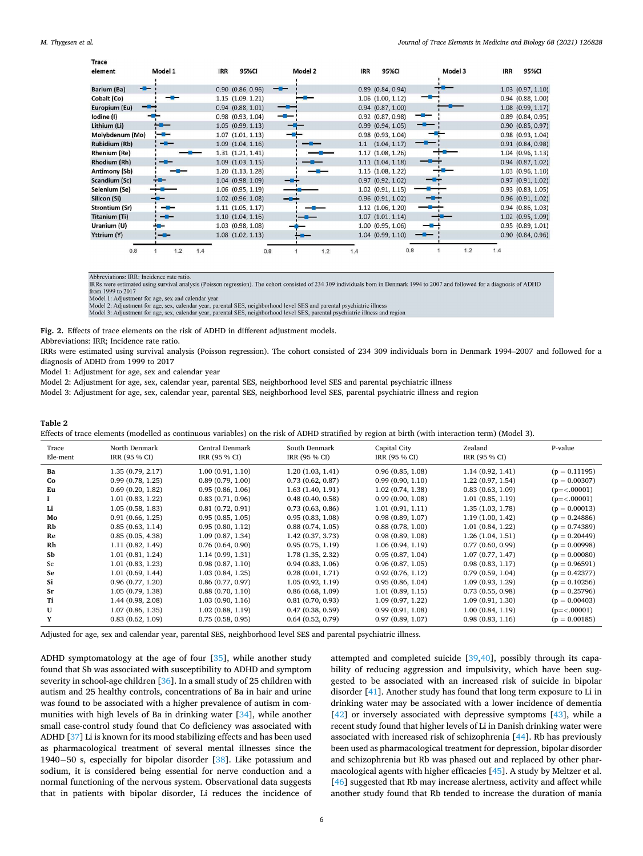<span id="page-5-0"></span>

| <b>Trace</b>         |                |                       |            |                       |         |                       |
|----------------------|----------------|-----------------------|------------|-----------------------|---------|-----------------------|
| element              | Model 1        | 95%CI<br><b>IRR</b>   | Model 2    | <b>IRR</b><br>95%CI   | Model 3 | <b>IRR</b><br>95%CI   |
|                      |                |                       |            |                       |         |                       |
| Barium (Ba)          | -8-            | $0.90$ $(0.86, 0.96)$ |            | $0.89$ $(0.84, 0.94)$ |         | $1.03$ $(0.97, 1.10)$ |
| Cobalt (Co)          |                | $1.15$ $(1.09.1.21)$  |            | $1.06$ $(1.00, 1.12)$ |         | $0.94$ $(0.88, 1.00)$ |
| Europium (Eu)        | --             | $0.94$ $(0.88, 1.01)$ |            | $0.94$ $(0.87, 1.00)$ |         | $1.08$ $(0.99, 1.17)$ |
| lodine (I)           |                | $0.98$ $(0.93, 1.04)$ |            | 0.92 (0.87, 0.98)     | --      | $0.89$ $(0.84, 0.95)$ |
| Lithium (Li)         |                | $1.05$ $(0.99, 1.13)$ |            | $0.99$ $(0.94, 1.05)$ |         | $0.90$ $(0.85, 0.97)$ |
| Molybdenum (Mo)      | <u> - a - </u> | $1.07$ $(1.01, 1.13)$ |            | $0.98$ $(0.93, 1.04)$ |         | $0.98$ $(0.93, 1.04)$ |
| <b>Rubidium (Rb)</b> | --             | $1.09$ $(1.04, 1.16)$ |            | $1.1$ $(1.04, 1.17)$  |         | $0.91$ $(0.84, 0.98)$ |
| <b>Rhenium (Re)</b>  |                | $1.31$ $(1.21, 1.41)$ |            | $1.17$ $(1.08, 1.26)$ |         | $1.04$ (0.96, 1.13)   |
| Rhodium (Rh)         |                | $1.09$ $(1.03, 1.15)$ |            | $1.11$ $(1.04, 1.18)$ |         | $0.94$ $(0.87, 1.02)$ |
| <b>Antimony (Sb)</b> |                | 1.20(1.13, 1.28)      |            | $1.15$ $(1.08, 1.22)$ |         | $1.03$ $(0.96, 1.10)$ |
| Scandium (Sc)        |                | $1.04$ $(0.98, 1.09)$ |            | $0.97$ $(0.92, 1.02)$ |         | $0.97$ $(0.91, 1.02)$ |
| Selenium (Se)        |                | $1.06$ $(0.95, 1.19)$ |            | $1.02$ $(0.91, 1.15)$ |         | $0.93$ $(0.83, 1.05)$ |
| Silicon (Si)         |                | 1.02 (0.96, 1.08)     |            | $0.96$ $(0.91, 1.02)$ |         | $0.96$ $(0.91, 1.02)$ |
| Strontium (Sr)       | --             | $1.11$ $(1.05, 1.17)$ |            | $1.12$ $(1.06, 1.20)$ |         | $0.94$ $(0.86, 1.03)$ |
| <b>Titanium (Ti)</b> | -8-            | $1.10$ $(1.04, 1.16)$ |            | $1.07$ $(1.01.1.14)$  |         | $1.02$ $(0.95, 1.09)$ |
| Uranium (U)          |                | 1.03 (0.98, 1.08)     |            | 1.00 (0.95, 1.06)     |         | $0.95$ $(0.89, 1.01)$ |
| Yttrium (Y)          | --             | $1.08$ $(1.02, 1.13)$ |            | $1.04$ $(0.99, 1.10)$ |         | $0.90$ $(0.84, 0.96)$ |
|                      |                |                       |            |                       |         |                       |
| 0.8                  | 1.2<br>1.4     |                       | 0.8<br>1.2 | 0.8<br>1.4            | 1.2     | 1.4                   |

Abbreviations: IRR; Incidence rate ratio

IRRs were estimated using survival analysis (Poisson regression). The cohort consisted of 234 309 individuals born in Denmark 1994 to 2007 and followed for a diagnosis of ADHD from 1999 to 2017

Model 1: Adjustment for age, sex and calendar year<br>Model 2: Adjustment for age, sex, calendar year, parental SES, neighborhood level SES and parental psychiatric illness

Model 3: Adjustment for age, sex, calendar year, parental SES, neighborhood level SES, parental psychiatric illness and region

**Fig. 2.** Effects of trace elements on the risk of ADHD in different adjustment models.

Abbreviations: IRR; Incidence rate ratio.

IRRs were estimated using survival analysis (Poisson regression). The cohort consisted of 234 309 individuals born in Denmark 1994–2007 and followed for a diagnosis of ADHD from 1999 to 2017

Model 1: Adjustment for age, sex and calendar year

Model 2: Adjustment for age, sex, calendar year, parental SES, neighborhood level SES and parental psychiatric illness

Model 3: Adjustment for age, sex, calendar year, parental SES, neighborhood level SES, parental psychiatric illness and region

### **Table 2**

Effects of trace elements (modelled as continuous variables) on the risk of ADHD stratified by region at birth (with interaction term) (Model 3).

| Trace<br>Ele-ment | North Denmark<br>IRR (95 % CI) | <b>Central Denmark</b><br>IRR (95 % CI) | South Denmark<br>IRR (95 % CI) | Capital City<br>IRR (95 % CI) | Zealand<br>IRR (95 % CI) | P-value         |
|-------------------|--------------------------------|-----------------------------------------|--------------------------------|-------------------------------|--------------------------|-----------------|
| Bа                | 1.35(0.79, 2.17)               | 1.00(0.91, 1.10)                        | 1.20(1.03, 1.41)               | 0.96(0.85, 1.08)              | 1.14(0.92, 1.41)         | $(p = 0.11195)$ |
| Co                | 0.99(0.78, 1.25)               | 0.89(0.79, 1.00)                        | 0.73(0.62, 0.87)               | 0.99(0.90, 1.10)              | 1.22(0.97, 1.54)         | $(p = 0.00307)$ |
| Eu                | 0.69(0.20, 1.82)               | 0.95(0.86, 1.06)                        | 1.63(1.40, 1.91)               | 1.02(0.74, 1.38)              | 0.83(0.63, 1.09)         | $(p=<.00001)$   |
|                   | 1.01(0.83, 1.22)               | 0.83(0.71, 0.96)                        | 0.48(0.40, 0.58)               | 0.99(0.90, 1.08)              | 1.01(0.85, 1.19)         | $(p=<.00001)$   |
| Li                | 1.05(0.58, 1.83)               | 0.81(0.72, 0.91)                        | 0.73(0.63, 0.86)               | 1.01(0.91, 1.11)              | 1.35(1.03, 1.78)         | $(p = 0.00013)$ |
| Mo                | 0.91(0.66, 1.25)               | 0.95(0.85, 1.05)                        | 0.95(0.83, 1.08)               | 0.98(0.89, 1.07)              | 1.19(1.00, 1.42)         | $(p = 0.24886)$ |
| Rb                | 0.85(0.63, 1.14)               | 0.95(0.80, 1.12)                        | 0.88(0.74, 1.05)               | 0.88(0.78, 1.00)              | 1.01(0.84, 1.22)         | $(p = 0.74389)$ |
| Re                | 0.85(0.05, 4.38)               | 1.09(0.87, 1.34)                        | 1.42(0.37, 3.73)               | 0.98(0.89, 1.08)              | 1.26(1.04, 1.51)         | $(p = 0.20449)$ |
| Rh                | 1.11(0.82, 1.49)               | 0.76(0.64, 0.90)                        | 0.95(0.75, 1.19)               | 1.06(0.94, 1.19)              | 0.77(0.60, 0.99)         | $(p = 0.00998)$ |
| Sb                | 1.01(0.81, 1.24)               | 1.14(0.99, 1.31)                        | 1.78 (1.35, 2.32)              | 0.95(0.87, 1.04)              | 1.07(0.77, 1.47)         | $(p = 0.00080)$ |
| Sc                | 1.01(0.83, 1.23)               | 0.98(0.87, 1.10)                        | 0.94(0.83, 1.06)               | 0.96(0.87, 1.05)              | 0.98(0.83, 1.17)         | $(p = 0.96591)$ |
| Se                | 1.01(0.69, 1.44)               | 1.03(0.84, 1.25)                        | 0.28(0.01, 1.71)               | 0.92(0.76, 1.12)              | 0.79(0.59, 1.04)         | $(p = 0.42377)$ |
| Si                | 0.96(0.77, 1.20)               | 0.86(0.77, 0.97)                        | 1.05(0.92, 1.19)               | 0.95(0.86, 1.04)              | 1.09(0.93, 1.29)         | $(p = 0.10256)$ |
| Sr                | 1.05(0.79, 1.38)               | 0.88(0.70, 1.10)                        | 0.86(0.68, 1.09)               | 1.01(0.89, 1.15)              | 0.73(0.55, 0.98)         | $(p = 0.25796)$ |
| Ti                | 1.44(0.98, 2.08)               | 1.03(0.90, 1.16)                        | 0.81(0.70, 0.93)               | 1.09(0.97, 1.22)              | 1.09(0.91, 1.30)         | $(p = 0.00403)$ |
| U                 | 1.07(0.86, 1.35)               | 1.02(0.88, 1.19)                        | 0.47(0.38, 0.59)               | 0.99(0.91, 1.08)              | 1.00(0.84, 1.19)         | $(p=<.00001)$   |
|                   | 0.83(0.62, 1.09)               | 0.75(0.58, 0.95)                        | 0.64(0.52, 0.79)               | 0.97(0.89, 1.07)              | 0.98(0.83, 1.16)         | $(p = 0.00185)$ |

Adjusted for age, sex and calendar year, parental SES, neighborhood level SES and parental psychiatric illness.

ADHD symptomatology at the age of four [[35\]](#page-7-0), while another study found that Sb was associated with susceptibility to ADHD and symptom severity in school-age children [\[36](#page-7-0)]. In a small study of 25 children with autism and 25 healthy controls, concentrations of Ba in hair and urine was found to be associated with a higher prevalence of autism in communities with high levels of Ba in drinking water [[34\]](#page-7-0), while another small case-control study found that Co deficiency was associated with ADHD [\[37](#page-7-0)] Li is known for its mood stabilizing effects and has been used as pharmacological treatment of several mental illnesses since the 1940−50 s, especially for bipolar disorder [[38\]](#page-7-0). Like potassium and sodium, it is considered being essential for nerve conduction and a normal functioning of the nervous system. Observational data suggests that in patients with bipolar disorder, Li reduces the incidence of attempted and completed suicide [\[39,40](#page-7-0)], possibly through its capability of reducing aggression and impulsivity, which have been suggested to be associated with an increased risk of suicide in bipolar disorder [\[41](#page-7-0)]. Another study has found that long term exposure to Li in drinking water may be associated with a lower incidence of dementia [[42\]](#page-7-0) or inversely associated with depressive symptoms [[43\]](#page-7-0), while a recent study found that higher levels of Li in Danish drinking water were associated with increased risk of schizophrenia [[44\]](#page-7-0). Rb has previously been used as pharmacological treatment for depression, bipolar disorder and schizophrenia but Rb was phased out and replaced by other pharmacological agents with higher efficacies [\[45\]](#page-8-0). A study by Meltzer et al. [[46\]](#page-8-0) suggested that Rb may increase alertness, activity and affect while another study found that Rb tended to increase the duration of mania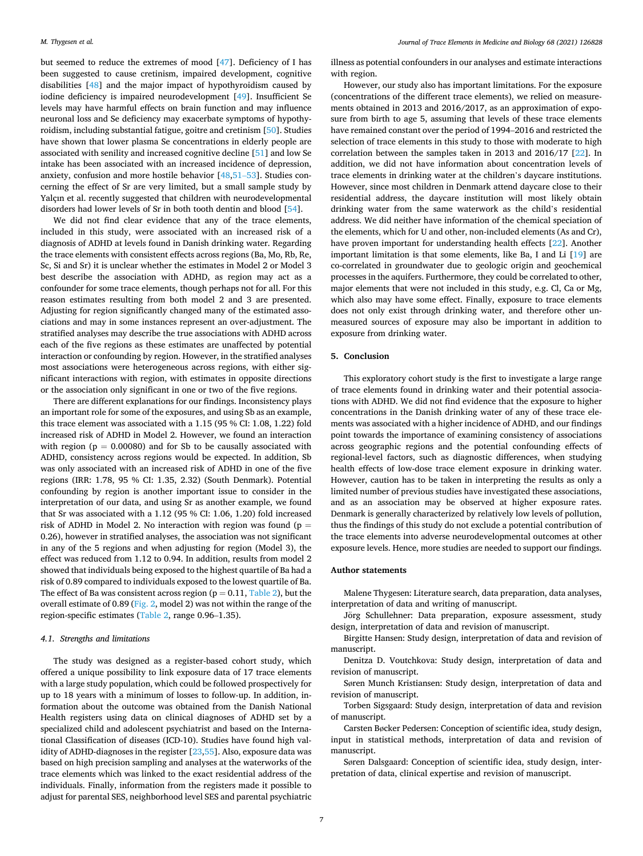but seemed to reduce the extremes of mood [[47\]](#page-8-0). Deficiency of I has been suggested to cause cretinism, impaired development, cognitive disabilities [[48\]](#page-8-0) and the major impact of hypothyroidism caused by iodine deficiency is impaired neurodevelopment [\[49](#page-8-0)]. Insufficient Se levels may have harmful effects on brain function and may influence neuronal loss and Se deficiency may exacerbate symptoms of hypothyroidism, including substantial fatigue, goitre and cretinism [[50\]](#page-8-0). Studies have shown that lower plasma Se concentrations in elderly people are associated with senility and increased cognitive decline [\[51](#page-8-0)] and low Se intake has been associated with an increased incidence of depression, anxiety, confusion and more hostile behavior [\[48](#page-8-0),[51](#page-8-0)–53]. Studies concerning the effect of Sr are very limited, but a small sample study by Yalçın et al. recently suggested that children with neurodevelopmental disorders had lower levels of Sr in both tooth dentin and blood [\[54](#page-8-0)].

We did not find clear evidence that any of the trace elements, included in this study, were associated with an increased risk of a diagnosis of ADHD at levels found in Danish drinking water. Regarding the trace elements with consistent effects across regions (Ba, Mo, Rb, Re, Sc, Si and Sr) it is unclear whether the estimates in Model 2 or Model 3 best describe the association with ADHD, as region may act as a confounder for some trace elements, though perhaps not for all. For this reason estimates resulting from both model 2 and 3 are presented. Adjusting for region significantly changed many of the estimated associations and may in some instances represent an over-adjustment. The stratified analyses may describe the true associations with ADHD across each of the five regions as these estimates are unaffected by potential interaction or confounding by region. However, in the stratified analyses most associations were heterogeneous across regions, with either significant interactions with region, with estimates in opposite directions or the association only significant in one or two of the five regions.

There are different explanations for our findings. Inconsistency plays an important role for some of the exposures, and using Sb as an example, this trace element was associated with a 1.15 (95 % CI: 1.08, 1.22) fold increased risk of ADHD in Model 2. However, we found an interaction with region ( $p = 0.00080$ ) and for Sb to be causally associated with ADHD, consistency across regions would be expected. In addition, Sb was only associated with an increased risk of ADHD in one of the five regions (IRR: 1.78, 95 % CI: 1.35, 2.32) (South Denmark). Potential confounding by region is another important issue to consider in the interpretation of our data, and using Sr as another example, we found that Sr was associated with a 1.12 (95 % CI: 1.06, 1.20) fold increased risk of ADHD in Model 2. No interaction with region was found ( $p =$ 0.26), however in stratified analyses, the association was not significant in any of the 5 regions and when adjusting for region (Model 3), the effect was reduced from 1.12 to 0.94. In addition, results from model 2 showed that individuals being exposed to the highest quartile of Ba had a risk of 0.89 compared to individuals exposed to the lowest quartile of Ba. The effect of Ba was consistent across region ( $p = 0.11$ , [Table 2\)](#page-5-0), but the overall estimate of 0.89 [\(Fig. 2,](#page-5-0) model 2) was not within the range of the region-specific estimates ([Table 2](#page-5-0), range 0.96–1.35).

## *4.1. Strengths and limitations*

The study was designed as a register-based cohort study, which offered a unique possibility to link exposure data of 17 trace elements with a large study population, which could be followed prospectively for up to 18 years with a minimum of losses to follow-up. In addition, information about the outcome was obtained from the Danish National Health registers using data on clinical diagnoses of ADHD set by a specialized child and adolescent psychiatrist and based on the International Classification of diseases (ICD-10). Studies have found high validity of ADHD-diagnoses in the register [\[23](#page-7-0),[55](#page-8-0)]. Also, exposure data was based on high precision sampling and analyses at the waterworks of the trace elements which was linked to the exact residential address of the individuals. Finally, information from the registers made it possible to adjust for parental SES, neighborhood level SES and parental psychiatric

illness as potential confounders in our analyses and estimate interactions with region.

However, our study also has important limitations. For the exposure (concentrations of the different trace elements), we relied on measurements obtained in 2013 and 2016/2017, as an approximation of exposure from birth to age 5, assuming that levels of these trace elements have remained constant over the period of 1994–2016 and restricted the selection of trace elements in this study to those with moderate to high correlation between the samples taken in 2013 and 2016/17 [[22\]](#page-7-0). In addition, we did not have information about concentration levels of trace elements in drinking water at the children's daycare institutions. However, since most children in Denmark attend daycare close to their residential address, the daycare institution will most likely obtain drinking water from the same waterwork as the child's residential address. We did neither have information of the chemical speciation of the elements, which for U and other, non-included elements (As and Cr), have proven important for understanding health effects [[22\]](#page-7-0). Another important limitation is that some elements, like Ba, I and Li [\[19](#page-7-0)] are co-correlated in groundwater due to geologic origin and geochemical processes in the aquifers. Furthermore, they could be correlated to other, major elements that were not included in this study, e.g. Cl, Ca or Mg, which also may have some effect. Finally, exposure to trace elements does not only exist through drinking water, and therefore other unmeasured sources of exposure may also be important in addition to exposure from drinking water.

# **5. Conclusion**

This exploratory cohort study is the first to investigate a large range of trace elements found in drinking water and their potential associations with ADHD. We did not find evidence that the exposure to higher concentrations in the Danish drinking water of any of these trace elements was associated with a higher incidence of ADHD, and our findings point towards the importance of examining consistency of associations across geographic regions and the potential confounding effects of regional-level factors, such as diagnostic differences, when studying health effects of low-dose trace element exposure in drinking water. However, caution has to be taken in interpreting the results as only a limited number of previous studies have investigated these associations, and as an association may be observed at higher exposure rates. Denmark is generally characterized by relatively low levels of pollution, thus the findings of this study do not exclude a potential contribution of the trace elements into adverse neurodevelopmental outcomes at other exposure levels. Hence, more studies are needed to support our findings.

### **Author statements**

Malene Thygesen: Literature search, data preparation, data analyses, interpretation of data and writing of manuscript.

Jörg Schullehner: Data preparation, exposure assessment, study design, interpretation of data and revision of manuscript.

Birgitte Hansen: Study design, interpretation of data and revision of manuscript.

Denitza D. Voutchkova: Study design, interpretation of data and revision of manuscript.

Søren Munch Kristiansen: Study design, interpretation of data and revision of manuscript.

Torben Sigsgaard: Study design, interpretation of data and revision of manuscript.

Carsten Bøcker Pedersen: Conception of scientific idea, study design, input in statistical methods, interpretation of data and revision of manuscript.

Søren Dalsgaard: Conception of scientific idea, study design, interpretation of data, clinical expertise and revision of manuscript.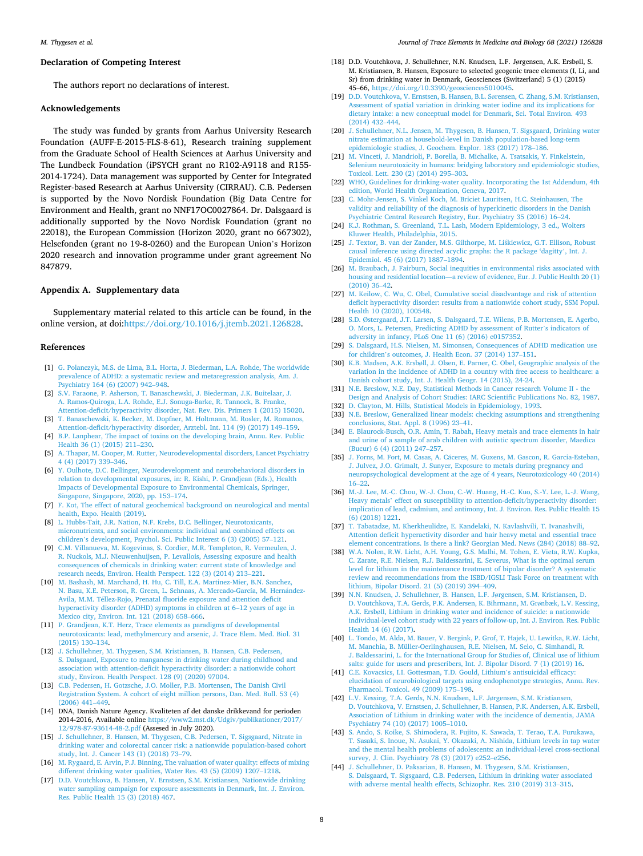### <span id="page-7-0"></span>**Declaration of Competing Interest**

The authors report no declarations of interest.

### **Acknowledgements**

The study was funded by grants from Aarhus University Research Foundation (AUFF-E-2015-FLS-8-61), Research training supplement from the Graduate School of Health Sciences at Aarhus University and The Lundbeck Foundation (iPSYCH grant no R102-A9118 and R155- 2014-1724). Data management was supported by Center for Integrated Register-based Research at Aarhus University (CIRRAU). C.B. Pedersen is supported by the Novo Nordisk Foundation (Big Data Centre for Environment and Health, grant no NNF17OC0027864. Dr. Dalsgaard is additionally supported by the Novo Nordisk Foundation (grant no 22018), the European Commission (Horizon 2020, grant no 667302), Helsefonden (grant no 19-8-0260) and the European Union's Horizon 2020 research and innovation programme under grant agreement No 847879.

# **Appendix A. Supplementary data**

Supplementary material related to this article can be found, in the online version, at doi[:https://doi.org/10.1016/j.jtemb.2021.126828.](https://doi.org/10.1016/j.jtemb.2021.126828)

### **References**

- [1] [G. Polanczyk, M.S. de Lima, B.L. Horta, J. Biederman, L.A. Rohde, The worldwide](http://refhub.elsevier.com/S0946-672X(21)00118-8/sbref0005)  [prevalence of ADHD: a systematic review and metaregression analysis, Am. J.](http://refhub.elsevier.com/S0946-672X(21)00118-8/sbref0005) [Psychiatry 164 \(6\) \(2007\) 942](http://refhub.elsevier.com/S0946-672X(21)00118-8/sbref0005)–948.
- [2] [S.V. Faraone, P. Asherson, T. Banaschewski, J. Biederman, J.K. Buitelaar, J.](http://refhub.elsevier.com/S0946-672X(21)00118-8/sbref0010) [A. Ramos-Quiroga, L.A. Rohde, E.J. Sonuga-Barke, R. Tannock, B. Franke,](http://refhub.elsevier.com/S0946-672X(21)00118-8/sbref0010) [Attention-deficit/hyperactivity disorder, Nat. Rev. Dis. Primers 1 \(2015\) 15020](http://refhub.elsevier.com/S0946-672X(21)00118-8/sbref0010).
- [3] [T. Banaschewski, K. Becker, M. Dopfner, M. Holtmann, M. Rosler, M. Romanos,](http://refhub.elsevier.com/S0946-672X(21)00118-8/sbref0015)  [Attention-deficit/hyperactivity disorder, Arztebl. Int. 114 \(9\) \(2017\) 149](http://refhub.elsevier.com/S0946-672X(21)00118-8/sbref0015)–159.
- [4] [B.P. Lanphear, The impact of toxins on the developing brain, Annu. Rev. Public](http://refhub.elsevier.com/S0946-672X(21)00118-8/sbref0020)  [Health 36 \(1\) \(2015\) 211](http://refhub.elsevier.com/S0946-672X(21)00118-8/sbref0020)–230.
- [5] [A. Thapar, M. Cooper, M. Rutter, Neurodevelopmental disorders, Lancet Psychiatry](http://refhub.elsevier.com/S0946-672X(21)00118-8/sbref0025)  [4 \(4\) \(2017\) 339](http://refhub.elsevier.com/S0946-672X(21)00118-8/sbref0025)–346.
- [6] [Y. Oulhote, D.C. Bellinger, Neurodevelopment and neurobehavioral disorders in](http://refhub.elsevier.com/S0946-672X(21)00118-8/sbref0030) [relation to developmental exposures, in: R. Kishi, P. Grandjean \(Eds.\), Health](http://refhub.elsevier.com/S0946-672X(21)00118-8/sbref0030)  [Impacts of Developmental Exposure to Environmental Chemicals, Springer,](http://refhub.elsevier.com/S0946-672X(21)00118-8/sbref0030) [Singapore, Singapore, 2020, pp. 153](http://refhub.elsevier.com/S0946-672X(21)00118-8/sbref0030)–174.
- [7] [F. Kot, The effect of natural geochemical background on neurological and mental](http://refhub.elsevier.com/S0946-672X(21)00118-8/sbref0035)  ealth, Expo. Health (2019).
- [8] [L. Hubbs-Tait, J.R. Nation, N.F. Krebs, D.C. Bellinger, Neurotoxicants,](http://refhub.elsevier.com/S0946-672X(21)00118-8/sbref0040) [micronutrients, and social environments: individual and combined effects on](http://refhub.elsevier.com/S0946-672X(21)00118-8/sbref0040) children'[s development, Psychol. Sci. Public Interest 6 \(3\) \(2005\) 57](http://refhub.elsevier.com/S0946-672X(21)00118-8/sbref0040)–121.
- [9] [C.M. Villanueva, M. Kogevinas, S. Cordier, M.R. Templeton, R. Vermeulen, J.](http://refhub.elsevier.com/S0946-672X(21)00118-8/sbref0045)  [R. Nuckols, M.J. Nieuwenhuijsen, P. Levallois, Assessing exposure and health](http://refhub.elsevier.com/S0946-672X(21)00118-8/sbref0045)  [consequences of chemicals in drinking water: current state of knowledge and](http://refhub.elsevier.com/S0946-672X(21)00118-8/sbref0045) [research needs, Environ. Health Perspect. 122 \(3\) \(2014\) 213](http://refhub.elsevier.com/S0946-672X(21)00118-8/sbref0045)–221.
- [10] [M. Bashash, M. Marchand, H. Hu, C. Till, E.A. Martinez-Mier, B.N. Sanchez,](http://refhub.elsevier.com/S0946-672X(21)00118-8/sbref0050) N. Basu, K.E. Peterson, R. Green, L. Schnaas, A. Mercado-García, M. Hernández-Avila, M.M. Téllez-Rojo, Prenatal fluoride exposure and attention deficit [hyperactivity disorder \(ADHD\) symptoms in children at 6](http://refhub.elsevier.com/S0946-672X(21)00118-8/sbref0050)–12 years of age in [Mexico city, Environ. Int. 121 \(2018\) 658](http://refhub.elsevier.com/S0946-672X(21)00118-8/sbref0050)–666.
- [11] [P. Grandjean, K.T. Herz, Trace elements as paradigms of developmental](http://refhub.elsevier.com/S0946-672X(21)00118-8/sbref0055) [neurotoxicants: lead, methylmercury and arsenic, J. Trace Elem. Med. Biol. 31](http://refhub.elsevier.com/S0946-672X(21)00118-8/sbref0055)  [\(2015\) 130](http://refhub.elsevier.com/S0946-672X(21)00118-8/sbref0055)–134.
- [12] [J. Schullehner, M. Thygesen, S.M. Kristiansen, B. Hansen, C.B. Pedersen,](http://refhub.elsevier.com/S0946-672X(21)00118-8/sbref0060) [S. Dalsgaard, Exposure to manganese in drinking water during childhood and](http://refhub.elsevier.com/S0946-672X(21)00118-8/sbref0060)  [association with attention-deficit hyperactivity disorder: a nationwide cohort](http://refhub.elsevier.com/S0946-672X(21)00118-8/sbref0060)  [study, Environ. Health Perspect. 128 \(9\) \(2020\) 97004.](http://refhub.elsevier.com/S0946-672X(21)00118-8/sbref0060)
- [13] [C.B. Pedersen, H. Gotzsche, J.O. Moller, P.B. Mortensen, The Danish Civil](http://refhub.elsevier.com/S0946-672X(21)00118-8/sbref0065)  [Registration System. A cohort of eight million persons, Dan. Med. Bull. 53 \(4\)](http://refhub.elsevier.com/S0946-672X(21)00118-8/sbref0065)  [\(2006\) 441](http://refhub.elsevier.com/S0946-672X(21)00118-8/sbref0065)–449.
- [14] DNA, Danish Nature Agency. Kvaliteten af det danske drikkevand for perioden 2014-2016, Available online [https://www2.mst.dk/Udgiv/publikationer/2017/](https://www2.mst.dk/Udgiv/publikationer/2017/12/978-87-93614-48-2.pdf) [12/978-87-93614-48-2.pdf](https://www2.mst.dk/Udgiv/publikationer/2017/12/978-87-93614-48-2.pdf) (Assesed in July 2020).
- [15] [J. Schullehner, B. Hansen, M. Thygesen, C.B. Pedersen, T. Sigsgaard, Nitrate in](http://refhub.elsevier.com/S0946-672X(21)00118-8/sbref0075)  [drinking water and colorectal cancer risk: a nationwide population-based cohort](http://refhub.elsevier.com/S0946-672X(21)00118-8/sbref0075)  [study, Int. J. Cancer 143 \(1\) \(2018\) 73](http://refhub.elsevier.com/S0946-672X(21)00118-8/sbref0075)–79.
- [16] [M. Rygaard, E. Arvin, P.J. Binning, The valuation of water quality: effects of mixing](http://refhub.elsevier.com/S0946-672X(21)00118-8/sbref0080)  [different drinking water qualities, Water Res. 43 \(5\) \(2009\) 1207](http://refhub.elsevier.com/S0946-672X(21)00118-8/sbref0080)–1218.
- [17] [D.D. Voutchkova, B. Hansen, V. Ernstsen, S.M. Kristiansen, Nationwide drinking](http://refhub.elsevier.com/S0946-672X(21)00118-8/sbref0085) [water sampling campaign for exposure assessments in Denmark, Int. J. Environ.](http://refhub.elsevier.com/S0946-672X(21)00118-8/sbref0085)  [Res. Public Health 15 \(3\) \(2018\) 467](http://refhub.elsevier.com/S0946-672X(21)00118-8/sbref0085).
- [18] D.D. Voutchkova, J. Schullehner, N.N. Knudsen, L.F. Jørgensen, A.K. Ersbøll, S. M. Kristiansen, B. Hansen, Exposure to selected geogenic trace elements (I, Li, and Sr) from drinking water in Denmark, Geosciences (Switzerland) 5 (1) (2015) 45–66, <https://doi.org/10.3390/geosciences5010045>.
- [19] [D.D. Voutchkova, V. Ernstsen, B. Hansen, B.L. S](http://refhub.elsevier.com/S0946-672X(21)00118-8/sbref0095)ørensen, C. Zhang, S.M. Kristiansen, [Assessment of spatial variation in drinking water iodine and its implications for](http://refhub.elsevier.com/S0946-672X(21)00118-8/sbref0095) [dietary intake: a new conceptual model for Denmark, Sci. Total Environ. 493](http://refhub.elsevier.com/S0946-672X(21)00118-8/sbref0095)  [\(2014\) 432](http://refhub.elsevier.com/S0946-672X(21)00118-8/sbref0095)–444.
- [20] [J. Schullehner, N.L. Jensen, M. Thygesen, B. Hansen, T. Sigsgaard, Drinking water](http://refhub.elsevier.com/S0946-672X(21)00118-8/sbref0100)  [nitrate estimation at household-level in Danish population-based long-term](http://refhub.elsevier.com/S0946-672X(21)00118-8/sbref0100) [epidemiologic studies, J. Geochem. Explor. 183 \(2017\) 178](http://refhub.elsevier.com/S0946-672X(21)00118-8/sbref0100)–186.
- [21] [M. Vinceti, J. Mandrioli, P. Borella, B. Michalke, A. Tsatsakis, Y. Finkelstein,](http://refhub.elsevier.com/S0946-672X(21)00118-8/sbref0105) [Selenium neurotoxicity in humans: bridging laboratory and epidemiologic studies,](http://refhub.elsevier.com/S0946-672X(21)00118-8/sbref0105)  [Toxicol. Lett. 230 \(2\) \(2014\) 295](http://refhub.elsevier.com/S0946-672X(21)00118-8/sbref0105)–303.
- [22] [WHO, Guidelines for drinking-water quality. Incorporating the 1st Addendum, 4th](http://refhub.elsevier.com/S0946-672X(21)00118-8/sbref0110)  [edition, World Health Organization, Geneva, 2017](http://refhub.elsevier.com/S0946-672X(21)00118-8/sbref0110).
- [23] [C. Mohr-Jensen, S. Vinkel Koch, M. Briciet Lauritsen, H.C. Steinhausen, The](http://refhub.elsevier.com/S0946-672X(21)00118-8/sbref0115)  [validity and reliability of the diagnosis of hyperkinetic disorders in the Danish](http://refhub.elsevier.com/S0946-672X(21)00118-8/sbref0115) [Psychiatric Central Research Registry, Eur. Psychiatry 35 \(2016\) 16](http://refhub.elsevier.com/S0946-672X(21)00118-8/sbref0115)–24.
- [24] [K.J. Rothman, S. Greenland, T.L. Lash, Modern Epidemiology, 3 ed., Wolters](http://refhub.elsevier.com/S0946-672X(21)00118-8/sbref0120) [Kluwer Health, Philadelphia, 2015.](http://refhub.elsevier.com/S0946-672X(21)00118-8/sbref0120)
- [25] [J. Textor, B. van der Zander, M.S. Gilthorpe, M. Li](http://refhub.elsevier.com/S0946-672X(21)00118-8/sbref0125)skiewicz, G.T. Ellison, Robust [causal inference using directed acyclic graphs: the R package 'dagitty](http://refhub.elsevier.com/S0946-672X(21)00118-8/sbref0125)', Int. J. [Epidemiol. 45 \(6\) \(2017\) 1887](http://refhub.elsevier.com/S0946-672X(21)00118-8/sbref0125)–1894.
- [26] M. Braubach, J. Fairburn, Social inequities in environmental risks associated with housing and residential location—[a review of evidence, Eur. J. Public Health 20 \(1\)](http://refhub.elsevier.com/S0946-672X(21)00118-8/sbref0130)   $(2010)$  36–42.
- [27] [M. Keilow, C. Wu, C. Obel, Cumulative social disadvantage and risk of attention](http://refhub.elsevier.com/S0946-672X(21)00118-8/sbref0135)  [deficit hyperactivity disorder: results from a nationwide cohort study, SSM Popul.](http://refhub.elsevier.com/S0946-672X(21)00118-8/sbref0135)  [Health 10 \(2020\), 100548](http://refhub.elsevier.com/S0946-672X(21)00118-8/sbref0135).
- [28] S.D. Ø[stergaard, J.T. Larsen, S. Dalsgaard, T.E. Wilens, P.B. Mortensen, E. Agerbo,](http://refhub.elsevier.com/S0946-672X(21)00118-8/sbref0140)  [O. Mors, L. Petersen, Predicting ADHD by assessment of Rutter](http://refhub.elsevier.com/S0946-672X(21)00118-8/sbref0140)'s indicators of [adversity in infancy, PLoS One 11 \(6\) \(2016\) e0157352](http://refhub.elsevier.com/S0946-672X(21)00118-8/sbref0140).
- [29] [S. Dalsgaard, H.S. Nielsen, M. Simonsen, Consequences of ADHD medication use](http://refhub.elsevier.com/S0946-672X(21)00118-8/sbref0145) for children'[s outcomes, J. Health Econ. 37 \(2014\) 137](http://refhub.elsevier.com/S0946-672X(21)00118-8/sbref0145)–151.
- [30] K.B. Madsen, A.K. Ersbø[ll, J. Olsen, E. Parner, C. Obel, Geographic analysis of the](http://refhub.elsevier.com/S0946-672X(21)00118-8/sbref0150)  [variation in the incidence of ADHD in a country with free access to healthcare: a](http://refhub.elsevier.com/S0946-672X(21)00118-8/sbref0150)  [Danish cohort study, Int. J. Health Geogr. 14 \(2015\), 24-24.](http://refhub.elsevier.com/S0946-672X(21)00118-8/sbref0150)
- [31] [N.E. Breslow, N.E. Day, Statistical Methods in Cancer research Volume II the](http://refhub.elsevier.com/S0946-672X(21)00118-8/sbref0155)  [Design and Analysis of Cohort Studies: IARC Scientific Publications No. 82, 1987.](http://refhub.elsevier.com/S0946-672X(21)00118-8/sbref0155) [32] [D. Clayton, M. Hills, Statistical Models in Epidemiology, 1993](http://refhub.elsevier.com/S0946-672X(21)00118-8/sbref0160).
- [33] N.E. Breslow, Generalized linear models: checking assumptions and strengthening [conclusions, Stat. Appl. 8 \(1996\) 23](http://refhub.elsevier.com/S0946-672X(21)00118-8/sbref0165)–41.
- [34] [E. Blaurock-Busch, O.R. Amin, T. Rabah, Heavy metals and trace elements in hair](http://refhub.elsevier.com/S0946-672X(21)00118-8/sbref0170)  [and urine of a sample of arab children with autistic spectrum disorder, Maedica](http://refhub.elsevier.com/S0946-672X(21)00118-8/sbref0170)  [\(Bucur\) 6 \(4\) \(2011\) 247](http://refhub.elsevier.com/S0946-672X(21)00118-8/sbref0170)–257.
- [35] J. Forns, M. Fort, M. Casas, A. Cáceres, M. Guxens, M. Gascon, R. Garcia-Esteban, [J. Julvez, J.O. Grimalt, J. Sunyer, Exposure to metals during pregnancy and](http://refhub.elsevier.com/S0946-672X(21)00118-8/sbref0175) [neuropsychological development at the age of 4 years, Neurotoxicology 40 \(2014\)](http://refhub.elsevier.com/S0946-672X(21)00118-8/sbref0175)  16–[22.](http://refhub.elsevier.com/S0946-672X(21)00118-8/sbref0175)
- [36] [M.-J. Lee, M.-C. Chou, W.-J. Chou, C.-W. Huang, H.-C. Kuo, S.-Y. Lee, L.-J. Wang,](http://refhub.elsevier.com/S0946-672X(21)00118-8/sbref0180)  Heavy metals' [effect on susceptibility to attention-deficit/hyperactivity disorder:](http://refhub.elsevier.com/S0946-672X(21)00118-8/sbref0180)  [implication of lead, cadmium, and antimony, Int. J. Environ. Res. Public Health 15](http://refhub.elsevier.com/S0946-672X(21)00118-8/sbref0180)  [\(6\) \(2018\) 1221](http://refhub.elsevier.com/S0946-672X(21)00118-8/sbref0180).
- [37] [T. Tabatadze, M. Kherkheulidze, E. Kandelaki, N. Kavlashvili, T. Ivanashvili,](http://refhub.elsevier.com/S0946-672X(21)00118-8/sbref0185) [Attention deficit hyperactivity disorder and hair heavy metal and essential trace](http://refhub.elsevier.com/S0946-672X(21)00118-8/sbref0185) [element concentrations. Is there a link? Georgian Med. News \(284\) \(2018\) 88](http://refhub.elsevier.com/S0946-672X(21)00118-8/sbref0185)–92.
- [38] [W.A. Nolen, R.W. Licht, A.H. Young, G.S. Malhi, M. Tohen, E. Vieta, R.W. Kupka,](http://refhub.elsevier.com/S0946-672X(21)00118-8/sbref0190)  [C. Zarate, R.E. Nielsen, R.J. Baldessarini, E. Severus, What is the optimal serum](http://refhub.elsevier.com/S0946-672X(21)00118-8/sbref0190) [level for lithium in the maintenance treatment of bipolar disorder? A systematic](http://refhub.elsevier.com/S0946-672X(21)00118-8/sbref0190)  [review and recommendations from the ISBD/IGSLI Task Force on treatment with](http://refhub.elsevier.com/S0946-672X(21)00118-8/sbref0190)  [lithium, Bipolar Disord. 21 \(5\) \(2019\) 394](http://refhub.elsevier.com/S0946-672X(21)00118-8/sbref0190)–409.
- [39] [N.N. Knudsen, J. Schullehner, B. Hansen, L.F. J](http://refhub.elsevier.com/S0946-672X(21)00118-8/sbref0195)ørgensen, S.M. Kristiansen, D. [D. Voutchkova, T.A. Gerds, P.K. Andersen, K. Bihrmann, M. Gr](http://refhub.elsevier.com/S0946-672X(21)00118-8/sbref0195)ønbæk, L.V. Kessing, A.K. Ersbø[ll, Lithium in drinking water and incidence of suicide: a nationwide](http://refhub.elsevier.com/S0946-672X(21)00118-8/sbref0195) [individual-level cohort study with 22 years of follow-up, Int. J. Environ. Res. Public](http://refhub.elsevier.com/S0946-672X(21)00118-8/sbref0195)  [Health 14 \(6\) \(2017\)](http://refhub.elsevier.com/S0946-672X(21)00118-8/sbref0195).
- [40] [L. Tondo, M. Alda, M. Bauer, V. Bergink, P. Grof, T. Hajek, U. Lewitka, R.W. Licht,](http://refhub.elsevier.com/S0946-672X(21)00118-8/sbref0200)  [M. Manchia, B. Müller-Oerlinghausen, R.E. Nielsen, M. Selo, C. Simhandl, R.](http://refhub.elsevier.com/S0946-672X(21)00118-8/sbref0200)  [J. Baldessarini, L. for the International Group for Studies of, Clinical use of lithium](http://refhub.elsevier.com/S0946-672X(21)00118-8/sbref0200)  [salts: guide for users and prescribers, Int. J. Bipolar Disord. 7 \(1\) \(2019\) 16.](http://refhub.elsevier.com/S0946-672X(21)00118-8/sbref0200)
- [41] [C.E. Kovacsics, I.I. Gottesman, T.D. Gould, Lithium](http://refhub.elsevier.com/S0946-672X(21)00118-8/sbref0205)'s antisuicidal efficacy: [elucidation of neurobiological targets using endophenotype strategies, Annu. Rev.](http://refhub.elsevier.com/S0946-672X(21)00118-8/sbref0205)  [Pharmacol. Toxicol. 49 \(2009\) 175](http://refhub.elsevier.com/S0946-672X(21)00118-8/sbref0205)–198.
- [42] [L.V. Kessing, T.A. Gerds, N.N. Knudsen, L.F. J](http://refhub.elsevier.com/S0946-672X(21)00118-8/sbref0210)ørgensen, S.M. Kristiansen, [D. Voutchkova, V. Ernstsen, J. Schullehner, B. Hansen, P.K. Andersen, A.K. Ersb](http://refhub.elsevier.com/S0946-672X(21)00118-8/sbref0210)øll, [Association of Lithium in drinking water with the incidence of dementia, JAMA](http://refhub.elsevier.com/S0946-672X(21)00118-8/sbref0210) [Psychiatry 74 \(10\) \(2017\) 1005](http://refhub.elsevier.com/S0946-672X(21)00118-8/sbref0210)–1010.
- [43] [S. Ando, S. Koike, S. Shimodera, R. Fujito, K. Sawada, T. Terao, T.A. Furukawa,](http://refhub.elsevier.com/S0946-672X(21)00118-8/sbref0215) [T. Sasaki, S. Inoue, N. Asukai, Y. Okazaki, A. Nishida, Lithium levels in tap water](http://refhub.elsevier.com/S0946-672X(21)00118-8/sbref0215)  [and the mental health problems of adolescents: an individual-level cross-sectional](http://refhub.elsevier.com/S0946-672X(21)00118-8/sbref0215)  [survey, J. Clin. Psychiatry 78 \(3\) \(2017\) e252](http://refhub.elsevier.com/S0946-672X(21)00118-8/sbref0215)–e256.
- [44] [J. Schullehner, D. Paksarian, B. Hansen, M. Thygesen, S.M. Kristiansen,](http://refhub.elsevier.com/S0946-672X(21)00118-8/sbref0220) [S. Dalsgaard, T. Sigsgaard, C.B. Pedersen, Lithium in drinking water associated](http://refhub.elsevier.com/S0946-672X(21)00118-8/sbref0220)  [with adverse mental health effects, Schizophr. Res. 210 \(2019\) 313](http://refhub.elsevier.com/S0946-672X(21)00118-8/sbref0220)–315.